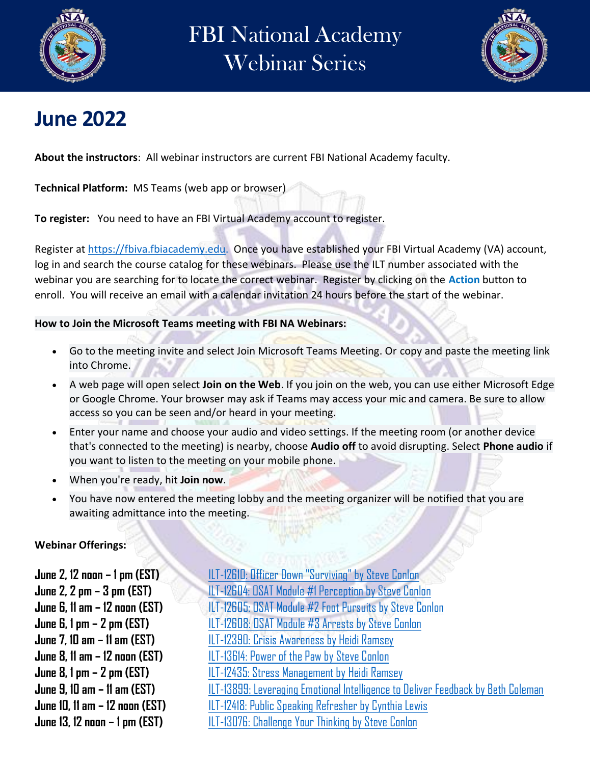

## FBI National Academy Webinar Series



## **June 2022**

**About the instructors**: All webinar instructors are current FBI National Academy faculty.

**Technical Platform:** MS Teams (web app or browser)

**To register:** You need to have an FBI Virtual Academy account to register.

Register at [https://fbiva.fbiacademy.edu.](https://fbiva.fbiacademy.edu/) Once you have established your FBI Virtual Academy (VA) account, log in and search the course catalog for these webinars. Please use the ILT number associated with the webinar you are searching for to locate the correct webinar. Register by clicking on the **Action** button to enroll. You will receive an email with a calendar invitation 24 hours before the start of the webinar.

## **How to Join the Microsoft Teams meeting with FBI NA Webinars:**

- Go to the meeting invite and select Join Microsoft Teams Meeting. Or copy and paste the meeting link into Chrome.
- A web page will open select **Join on the Web**. If you join on the web, you can use either Microsoft Edge or Google Chrome. Your browser may ask if Teams may access your mic and camera. Be sure to allow access so you can be seen and/or heard in your meeting.
- Enter your name and choose your audio and video settings. If the meeting room (or another device that's connected to the meeting) is nearby, choose **Audio off** to avoid disrupting. Select **Phone audio** if you want to listen to the meeting on your mobile phone.
- When you're ready, hit **Join now**.
- You have now entered the meeting lobby and the meeting organizer will be notified that you are awaiting admittance into the meeting.

**Webinar Offerings:**

**June 13, 12 noon – 1 pm (EST)** [ILT-13076: Challenge Your Thinking by Steve Conlon](https://usg02.safelinks.protection.office365.us/?url=https%3A%2F%2Fgov.teams.microsoft.us%2Fl%2Fmeetup-join%2F19%253agcch%253ameeting_080da2b94109431d8bbeb34c84ec42aa%2540thread.v2%2F0%3Fcontext%3D%257b%2522Tid%2522%253a%2522022914a9-b95f-4b7b-bace-551ce1a04071%2522%252c%2522Oid%2522%253a%25229f4d6df6-46a0-4cb5-89b3-fe804e056936%2522%257d&data=04%7C01%7Cmecoleman%40fbi.gov%7Cb4821f40198c48f17c4c08da37aeb668%7C022914a9b95f4b7bbace551ce1a04071%7C0%7C0%7C637883520768259979%7CUnknown%7CTWFpbGZsb3d8eyJWIjoiMC4wLjAwMDAiLCJQIjoiV2luMzIiLCJBTiI6Ik1haWwiLCJXVCI6Mn0%3D%7C3000&sdata=pM7x5glpCh9%2FdzJ6AcTIFqZDckzXwfuVGh%2FuX4ikBoI%3D&reserved=0)

**June 2, 12 noon – 1 pm (EST)** [ILT-12610: Officer Down "Surviving" by Steve Conlon](https://usg02.safelinks.protection.office365.us/?url=https%3A%2F%2Fgov.teams.microsoft.us%2Fl%2Fmeetup-join%2F19%253agcch%253ameeting_bd4ab0636463446b9c4093f49d97403b%2540thread.v2%2F0%3Fcontext%3D%257b%2522Tid%2522%253a%2522022914a9-b95f-4b7b-bace-551ce1a04071%2522%252c%2522Oid%2522%253a%25229f4d6df6-46a0-4cb5-89b3-fe804e056936%2522%257d&data=04%7C01%7Cmecoleman%40fbi.gov%7C373cade9d34c46ed858308da37ab9306%7C022914a9b95f4b7bbace551ce1a04071%7C0%7C0%7C637883507282873986%7CUnknown%7CTWFpbGZsb3d8eyJWIjoiMC4wLjAwMDAiLCJQIjoiV2luMzIiLCJBTiI6Ik1haWwiLCJXVCI6Mn0%3D%7C3000&sdata=Fy7NCWvQW3%2FinBmdzOqA4p4PXJgm81CKUuUkyk0P%2BT4%3D&reserved=0) **June 2, 2 pm – 3 pm (EST)** [ILT-12604: OSAT Module #1 Perception by Steve Conlon](https://usg02.safelinks.protection.office365.us/?url=https%3A%2F%2Fgov.teams.microsoft.us%2Fl%2Fmeetup-join%2F19%253agcch%253ameeting_18ac68a3f2c4449eb724132751432003%2540thread.v2%2F0%3Fcontext%3D%257b%2522Tid%2522%253a%2522022914a9-b95f-4b7b-bace-551ce1a04071%2522%252c%2522Oid%2522%253a%25229f4d6df6-46a0-4cb5-89b3-fe804e056936%2522%257d&data=04%7C01%7Cmecoleman%40fbi.gov%7Cc71147ca64194cb97bca08da37f2d0fe%7C022914a9b95f4b7bbace551ce1a04071%7C0%7C0%7C637883813264625259%7CUnknown%7CTWFpbGZsb3d8eyJWIjoiMC4wLjAwMDAiLCJQIjoiV2luMzIiLCJBTiI6Ik1haWwiLCJXVCI6Mn0%3D%7C3000&sdata=BswlI%2F7mm0jVaBWmYsvglClSJTAR4R0PFULZlCV9bkQ%3D&reserved=0) **June 6, 11 am – 12 noon (EST)** [ILT-12605: OSAT Module #2 Foot Pursuits by Steve Conlon](https://usg02.safelinks.protection.office365.us/?url=https%3A%2F%2Fgov.teams.microsoft.us%2Fl%2Fmeetup-join%2F19%253agcch%253ameeting_246132b0a1f64806a54a73e2cfef96f7%2540thread.v2%2F0%3Fcontext%3D%257b%2522Tid%2522%253a%2522022914a9-b95f-4b7b-bace-551ce1a04071%2522%252c%2522Oid%2522%253a%25229f4d6df6-46a0-4cb5-89b3-fe804e056936%2522%257d&data=04%7C01%7Cmecoleman%40fbi.gov%7C9ce623c612e047264bb208da37f30a15%7C022914a9b95f4b7bbace551ce1a04071%7C0%7C0%7C637883814268032343%7CUnknown%7CTWFpbGZsb3d8eyJWIjoiMC4wLjAwMDAiLCJQIjoiV2luMzIiLCJBTiI6Ik1haWwiLCJXVCI6Mn0%3D%7C3000&sdata=StckfYqacCIjsQN7y9YpWcpC%2FVHNB6V8Y8fdR8MO0XY%3D&reserved=0) **June 6, 1 pm – 2 pm (EST)** [ILT-12608: OSAT Module #3 Arrests by Steve Conlon](https://usg02.safelinks.protection.office365.us/?url=https%3A%2F%2Fgov.teams.microsoft.us%2Fl%2Fmeetup-join%2F19%253agcch%253ameeting_ddfa8dc4214946f3a15646ad0b17a86e%2540thread.v2%2F0%3Fcontext%3D%257b%2522Tid%2522%253a%2522022914a9-b95f-4b7b-bace-551ce1a04071%2522%252c%2522Oid%2522%253a%25229f4d6df6-46a0-4cb5-89b3-fe804e056936%2522%257d&data=04%7C01%7Cmecoleman%40fbi.gov%7Cc65d5c3d5e444a2aff1f08da37f34394%7C022914a9b95f4b7bbace551ce1a04071%7C0%7C0%7C637883815183331752%7CUnknown%7CTWFpbGZsb3d8eyJWIjoiMC4wLjAwMDAiLCJQIjoiV2luMzIiLCJBTiI6Ik1haWwiLCJXVCI6Mn0%3D%7C3000&sdata=nxOiNU5aFzIe%2F97F0NfZhxowwmIlGr46%2BNSgkobn9eU%3D&reserved=0) **June 7, 10 am – 11 am (EST)** [ILT-12390: Crisis Awareness by Heidi Ramsey](https://usg02.safelinks.protection.office365.us/?url=https%3A%2F%2Fgov.teams.microsoft.us%2Fl%2Fmeetup-join%2F19%253agcch%253ameeting_7a435ffa90684a488bea6b5fd95d967c%2540thread.v2%2F0%3Fcontext%3D%257b%2522Tid%2522%253a%2522022914a9-b95f-4b7b-bace-551ce1a04071%2522%252c%2522Oid%2522%253a%252238977a05-80b8-44ce-9507-d2cbda1fc3de%2522%257d&data=04%7C01%7Cmecoleman%40fbi.gov%7Ccbf2cd7832654c3fbab408da1ee19a0e%7C022914a9b95f4b7bbace551ce1a04071%7C0%7C0%7C637856251537310543%7CUnknown%7CTWFpbGZsb3d8eyJWIjoiMC4wLjAwMDAiLCJQIjoiV2luMzIiLCJBTiI6Ik1haWwiLCJXVCI6Mn0%3D%7C3000&sdata=6JNSuIJ8eB12%2F1G%2F6xcCTrcVHLnJ6897rWs%2FhjKvpck%3D&reserved=0) **June 8, 11 am – 12 noon (EST)** [ILT-13614: Power of the Paw by Steve Conlon](https://usg02.safelinks.protection.office365.us/?url=https%3A%2F%2Fgov.teams.microsoft.us%2Fl%2Fmeetup-join%2F19%253agcch%253ameeting_0b3c4c93ea4f40599a2280cad9ca6902%2540thread.v2%2F0%3Fcontext%3D%257b%2522Tid%2522%253a%2522022914a9-b95f-4b7b-bace-551ce1a04071%2522%252c%2522Oid%2522%253a%25229f4d6df6-46a0-4cb5-89b3-fe804e056936%2522%257d&data=04%7C01%7Cmecoleman%40fbi.gov%7C7ed38a53509f42d5999308da37a7c9e9%7C022914a9b95f4b7bbace551ce1a04071%7C0%7C0%7C637883491022598189%7CUnknown%7CTWFpbGZsb3d8eyJWIjoiMC4wLjAwMDAiLCJQIjoiV2luMzIiLCJBTiI6Ik1haWwiLCJXVCI6Mn0%3D%7C3000&sdata=fp3RrIsNGJ%2FeEongOCOSGSOhlp9Xqv8OWH5Gnd2vS%2Fk%3D&reserved=0) **June 8, 1 pm – 2 pm (EST)** [ILT-12435: Stress Management by Heidi Ramsey](https://usg02.safelinks.protection.office365.us/?url=https%3A%2F%2Fgov.teams.microsoft.us%2Fl%2Fmeetup-join%2F19%253agcch%253ameeting_dc817e8e201045c097626c5dce820582%2540thread.v2%2F0%3Fcontext%3D%257b%2522Tid%2522%253a%2522022914a9-b95f-4b7b-bace-551ce1a04071%2522%252c%2522Oid%2522%253a%252238977a05-80b8-44ce-9507-d2cbda1fc3de%2522%257d&data=04%7C01%7Cmecoleman%40fbi.gov%7C36bbc8d43e3f4f0d1d2a08da1ee1a941%7C022914a9b95f4b7bbace551ce1a04071%7C0%7C0%7C637856251789143374%7CUnknown%7CTWFpbGZsb3d8eyJWIjoiMC4wLjAwMDAiLCJQIjoiV2luMzIiLCJBTiI6Ik1haWwiLCJXVCI6Mn0%3D%7C3000&sdata=8pnfi%2Bgr3SvrEnRB%2FbnRkuUW0GjlXPPT%2BnlGQhk2Cok%3D&reserved=0) **June 9, 10 am – 11 am (EST)** [ILT-13899: Leveraging Emotional Intelligence to Deliver Feedback by Beth Coleman](https://gov.teams.microsoft.us/l/meetup-join/19%3agcch%3ameeting_03b4e151d3a943348a5304a2348192b8%40thread.v2/0?context=%7b%22Tid%22%3a%22022914a9-b95f-4b7b-bace-551ce1a04071%22%2c%22Oid%22%3a%22cbdab844-fe25-4bee-a31c-39f12071d45c%22%7d) **June 10, 11 am – 12 noon (EST)** [ILT-12418: Public Speaking Refresher by Cynthia Lewis](https://usg02.safelinks.protection.office365.us/?url=https%3A%2F%2Fgov.teams.microsoft.us%2Fl%2Fmeetup-join%2F19%253agcch%253ameeting_c7f72ed4e1654cb6a41ff7ea80562da5%2540thread.v2%2F0%3Fcontext%3D%257b%2522Tid%2522%253a%2522022914a9-b95f-4b7b-bace-551ce1a04071%2522%252c%2522Oid%2522%253a%2522d9257331-eb71-4ff1-ba3d-0ef11661735b%2522%257d&data=04%7C01%7Cmecoleman%40fbi.gov%7C3cc4ea9379e24a957f7708da335e18c4%7C022914a9b95f4b7bbace551ce1a04071%7C0%7C0%7C637878776469214241%7CUnknown%7CTWFpbGZsb3d8eyJWIjoiMC4wLjAwMDAiLCJQIjoiV2luMzIiLCJBTiI6Ik1haWwiLCJXVCI6Mn0%3D%7C3000&sdata=2G2lthbrSNbztxWeB9tMmlwpuZogc8voGYimQIZfL%2Fs%3D&reserved=0)